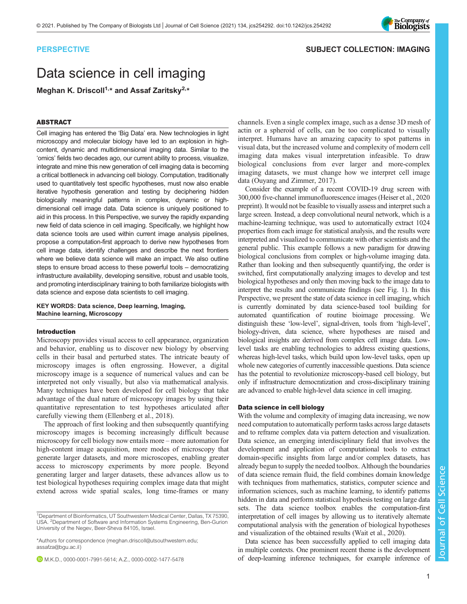# The Company of<br>**Biologists**

# PERSPECTIVE [SUBJECT COLLECTION: IMAGING](https://jcs.biologists.org/collection/imaging)

# Data science in cell imaging

Meghan K. Driscoll<sup>1,\*</sup> and Assaf Zaritsky<sup>2,\*</sup>

# ABSTRACT

Cell imaging has entered the 'Big Data' era. New technologies in light microscopy and molecular biology have led to an explosion in highcontent, dynamic and multidimensional imaging data. Similar to the 'omics' fields two decades ago, our current ability to process, visualize, integrate and mine this new generation of cell imaging data is becoming a critical bottleneck in advancing cell biology. Computation, traditionally used to quantitatively test specific hypotheses, must now also enable iterative hypothesis generation and testing by deciphering hidden biologically meaningful patterns in complex, dynamic or highdimensional cell image data. Data science is uniquely positioned to aid in this process. In this Perspective, we survey the rapidly expanding new field of data science in cell imaging. Specifically, we highlight how data science tools are used within current image analysis pipelines, propose a computation-first approach to derive new hypotheses from cell image data, identify challenges and describe the next frontiers where we believe data science will make an impact. We also outline steps to ensure broad access to these powerful tools – democratizing infrastructure availability, developing sensitive, robust and usable tools, and promoting interdisciplinary training to both familiarize biologists with data science and expose data scientists to cell imaging.

# KEY WORDS: Data science, Deep learning, Imaging, Machine learning, Microscopy

## Introduction

Microscopy provides visual access to cell appearance, organization and behavior, enabling us to discover new biology by observing cells in their basal and perturbed states. The intricate beauty of microscopy images is often engrossing. However, a digital microscopy image is a sequence of numerical values and can be interpreted not only visually, but also via mathematical analysis. Many techniques have been developed for cell biology that take advantage of the dual nature of microscopy images by using their quantitative representation to test hypotheses articulated after carefully viewing them [\(Ellenberg et al., 2018\)](#page-5-0).

The approach of first looking and then subsequently quantifying microscopy images is becoming increasingly difficult because microscopy for cell biology now entails more – more automation for high-content image acquisition, more modes of microscopy that generate larger datasets, and more microscopes, enabling greater access to microscopy experiments by more people. Beyond generating larger and larger datasets, these advances allow us to test biological hypotheses requiring complex image data that might extend across wide spatial scales, long time-frames or many

\*Authors for correspondence ([meghan.driscoll@utsouthwestern.edu;](mailto:meghan.driscoll@utsouthwestern.edu) [assafza@bgu.ac.il](mailto:assafza@bgu.ac.il))

M.K.D., [0000-0001-7991-5614;](http://orcid.org/0000-0001-7991-5614) A.Z., [0000-0002-1477-5478](http://orcid.org/0000-0002-1477-5478)

channels. Even a single complex image, such as a dense 3D mesh of actin or a spheroid of cells, can be too complicated to visually interpret. Humans have an amazing capacity to spot patterns in visual data, but the increased volume and complexity of modern cell imaging data makes visual interpretation infeasible. To draw biological conclusions from ever larger and more-complex imaging datasets, we must change how we interpret cell image data [\(Ouyang and Zimmer, 2017](#page-6-0)).

Consider the example of a recent COVID-19 drug screen with 300,000 five-channel immunofluorescence images [\(Heiser et al., 2020](#page-5-0) preprint). It would not be feasible to visually assess and interpret such a large screen. Instead, a deep convolutional neural network, which is a machine-learning technique, was used to automatically extract 1024 properties from each image for statistical analysis, and the results were interpreted and visualized to communicate with other scientists and the general public. This example follows a new paradigm for drawing biological conclusions from complex or high-volume imaging data. Rather than looking and then subsequently quantifying, the order is switched, first computationally analyzing images to develop and test biological hypotheses and only then moving back to the image data to interpret the results and communicate findings (see [Fig. 1\)](#page-1-0). In this Perspective, we present the state of data science in cell imaging, which is currently dominated by data science-based tool building for automated quantification of routine bioimage processing. We distinguish these 'low-level', signal-driven, tools from 'high-level', biology-driven, data science, where hypotheses are raised and biological insights are derived from complex cell image data. Lowlevel tasks are enabling technologies to address existing questions, whereas high-level tasks, which build upon low-level tasks, open up whole new categories of currently inaccessible questions. Data science has the potential to revolutionize microscopy-based cell biology, but only if infrastructure democratization and cross-disciplinary training are advanced to enable high-level data science in cell imaging.

## Data science in cell biology

With the volume and complexity of imaging data increasing, we now need computation to automatically perform tasks across large datasets and to reframe complex data via pattern detection and visualization. Data science, an emerging interdisciplinary field that involves the development and application of computational tools to extract domain-specific insights from large and/or complex datasets, has already begun to supply the needed toolbox. Although the boundaries of data science remain fluid, the field combines domain knowledge with techniques from mathematics, statistics, computer science and information sciences, such as machine learning, to identify patterns hidden in data and perform statistical hypothesis testing on large data sets. The data science toolbox enables the computation-first interpretation of cell images by allowing us to iteratively alternate computational analysis with the generation of biological hypotheses and visualization of the obtained results [\(Wait et al., 2020\)](#page-6-0).

Data science has been successfully applied to cell imaging data in multiple contexts. One prominent recent theme is the development of deep-learning inference techniques, for example inference of

<sup>&</sup>lt;sup>1</sup>Department of Bioinformatics, UT Southwestern Medical Center, Dallas, TX 75390, USA. <sup>2</sup>Department of Software and Information Systems Engineering, Ben-Gurion University of the Negev, Beer-Sheva 84105, Israel.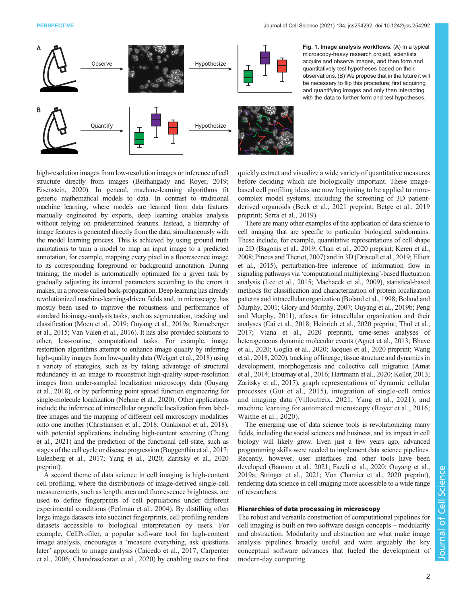<span id="page-1-0"></span>

Fig. 1. Image analysis workflows. (A) In a typical microscopy-heavy research project, scientists acquire and observe images, and then form and quantitatively test hypotheses based on their observations. (B) We propose that in the future it will be necessary to flip this procedure; first acquiring and quantifying images and only then interacting with the data to further form and test hypotheses.

high-resolution images from low-resolution images or inference of cell structure directly from images [\(Belthangady and Royer, 2019](#page-5-0); [Eisenstein, 2020\)](#page-5-0). In general, machine-learning algorithms fit generic mathematical models to data. In contrast to traditional machine learning, where models are learned from data features manually engineered by experts, deep learning enables analysis without relying on predetermined features. Instead, a hierarchy of image features is generated directly from the data, simultaneously with the model learning process. This is achieved by using ground truth annotations to train a model to map an input image to a predicted annotation, for example, mapping every pixel in a fluorescence image to its corresponding foreground or background annotation. During training, the model is automatically optimized for a given task by gradually adjusting its internal parameters according to the errors it makes, in a process called back-propagation. Deep learning has already revolutionized machine-learning-driven fields and, in microscopy, has mostly been used to improve the robustness and performance of standard bioimage-analysis tasks, such as segmentation, tracking and classification ([Moen et al., 2019; Ouyang et al., 2019a; Ronneberger](#page-6-0) [et al., 2015; Van Valen et al., 2016](#page-6-0)). It has also provided solutions to other, less-routine, computational tasks. For example, image restoration algorithms attempt to enhance image quality by inferring high-quality images from low-quality data ([Weigert et al., 2018](#page-6-0)) using a variety of strategies, such as by taking advantage of structural redundancy in an image to reconstruct high-quality super-resolution images from under-sampled localization microscopy data [\(Ouyang](#page-6-0) [et al., 2018](#page-6-0)), or by performing point spread function engineering for single-molecule localization [\(Nehme et al., 2020\)](#page-6-0). Other applications include the inference of intracellular organelle localization from labelfree images and the mapping of different cell microscopy modalities onto one another [\(Christiansen et al., 2018;](#page-5-0) [Ounkomol et al., 2018\)](#page-6-0), with potential applications including high-content screening [\(Cheng](#page-5-0) [et al., 2021\)](#page-5-0) and the prediction of the functional cell state, such as stages of the cell cycle or disease progression ([Buggenthin et al., 2017](#page-5-0); [Eulenberg et al., 2017](#page-5-0); [Yang et al., 2020;](#page-6-0) [Zaritsky et al., 2020](#page-7-0) preprint).

A second theme of data science in cell imaging is high-content cell profiling, where the distributions of image-derived single-cell measurements, such as length, area and fluorescence brightness, are used to define fingerprints of cell populations under different experimental conditions [\(Perlman et al., 2004](#page-6-0)). By distilling often large image datasets into succinct fingerprints, cell profiling renders datasets accessible to biological interpretation by users. For example, CellProfiler, a popular software tool for high-content image analysis, encourages a 'measure everything, ask questions later' approach to image analysis [\(Caicedo et al., 2017](#page-5-0); [Carpenter](#page-5-0) [et al., 2006](#page-5-0); [Chandrasekaran et al., 2020\)](#page-5-0) by enabling users to first

quickly extract and visualize a wide variety of quantitative measures before deciding which are biologically important. These imagebased cell profiling ideas are now beginning to be applied to morecomplex model systems, including the screening of 3D patientderived organoids ([Beck et al., 2021](#page-5-0) preprint; [Betge et al., 2019](#page-5-0) preprint; [Serra et al., 2019\)](#page-6-0).

There are many other examples of the application of data science to cell imaging that are specific to particular biological subdomains. These include, for example, quantitative representations of cell shape in 2D [\(Bagonis et al., 2019](#page-5-0); [Chan et al., 2020](#page-5-0) preprint; [Keren et al.,](#page-6-0) [2008](#page-6-0); [Pincus and Theriot, 2007\)](#page-6-0) and in 3D [\(Driscoll et al., 2019; Elliott](#page-5-0) [et al., 2015\)](#page-5-0), perturbation-free inference of information flow in signaling pathways via 'computational multiplexing'-based fluctuation analysis ([Lee et al., 2015](#page-6-0); [Machacek et al., 2009\)](#page-6-0), statistical-based methods for classification and characterization of protein localization patterns and intracellular organization [\(Boland et al., 1998](#page-5-0); [Boland and](#page-5-0) [Murphy, 2001](#page-5-0); [Glory and Murphy, 2007](#page-5-0); [Ouyang et al., 2019b; Peng](#page-6-0) [and Murphy, 2011](#page-6-0)), atlases for intracellular organization and their analyses [\(Cai et al., 2018](#page-5-0); [Heinrich et al., 2020](#page-5-0) preprint; [Thul et al.,](#page-6-0) [2017](#page-6-0); [Viana et al., 2020](#page-6-0) preprint), time-series analyses of heterogeneous dynamic molecular events ([Aguet et al., 2013; Bhave](#page-5-0) [et al., 2020](#page-5-0); [Goglia et al., 2020](#page-5-0); [Jacques et al., 2020](#page-6-0) preprint; [Wang](#page-6-0) [et al., 2018](#page-6-0), [2020](#page-6-0)), tracking of lineage, tissue structure and dynamics in development, morphogenesis and collective cell migration ([Amat](#page-5-0) [et al., 2014](#page-5-0); [Etournay et al., 2016](#page-5-0); [Hartmann et al., 2020](#page-5-0); [Keller, 2013](#page-6-0); [Zaritsky et al., 2017\)](#page-7-0), graph representations of dynamic cellular processes [\(Gut et al., 2015\)](#page-5-0), integration of single-cell omics and imaging data ([Villoutreix, 2021](#page-6-0); [Yang et al., 2021\)](#page-7-0), and machine learning for automated microscopy [\(Royer et al., 2016](#page-6-0); [Waithe et al., 2020](#page-6-0)).

The emerging use of data science tools is revolutionizing many fields, including the social sciences and business, and its impact in cell biology will likely grow. Even just a few years ago, advanced programming skills were needed to implement data science pipelines. Recently, however, user interfaces and other tools have been developed ([Bannon et al., 2021; Fazeli et al., 2020;](#page-5-0) [Ouyang et al.,](#page-6-0) [2019a](#page-6-0); [Stringer et al., 2021; Von Chamier et al., 2020](#page-6-0) preprint), rendering data science in cell imaging more accessible to a wide range of researchers.

## Hierarchies of data processing in microscopy

The robust and versatile construction of computational pipelines for cell imaging is built on two software design concepts – modularity and abstraction. Modularity and abstraction are what make image analysis pipelines broadly useful and were arguably the key conceptual software advances that fueled the development of modern-day computing.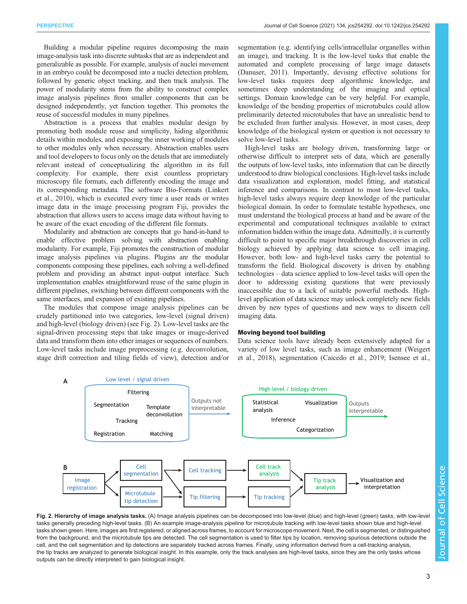Building a modular pipeline requires decomposing the main image-analysis task into discrete subtasks that are as independent and generalizable as possible. For example, analysis of nuclei movement in an embryo could be decomposed into a nuclei detection problem, followed by generic object tracking, and then track analysis. The power of modularity stems from the ability to construct complex image analysis pipelines from smaller components that can be designed independently, yet function together. This promotes the reuse of successful modules in many pipelines.

Abstraction is a process that enables modular design by promoting both module reuse and simplicity, hiding algorithmic details within modules, and exposing the inner working of modules to other modules only when necessary. Abstraction enables users and tool developers to focus only on the details that are immediately relevant instead of conceptualizing the algorithm in its full complexity. For example, there exist countless proprietary microscopy file formats, each differently encoding the image and its corresponding metadata. The software Bio-Formats ([Linkert](#page-6-0) [et al., 2010\)](#page-6-0), which is executed every time a user reads or writes image data in the image processing program Fiji, provides the abstraction that allows users to access image data without having to be aware of the exact encoding of the different file formats.

Modularity and abstraction are concepts that go hand-in-hand to enable effective problem solving with abstraction enabling modularity. For example, Fiji promotes the construction of modular image analysis pipelines via plugins. Plugins are the modular components composing these pipelines, each solving a well-defined problem and providing an abstract input–output interface. Such implementation enables straightforward reuse of the same plugin in different pipelines, switching between different components with the same interfaces, and expansion of existing pipelines.

The modules that compose image analysis pipelines can be crudely partitioned into two categories, low-level (signal driven) and high-level (biology driven) (see Fig. 2). Low-level tasks are the signal-driven processing steps that take images or image-derived data and transform them into other images or sequences of numbers. Low-level tasks include image preprocessing (e.g. deconvolution, stage drift correction and tiling fields of view), detection and/or segmentation (e.g. identifying cells/intracellular organelles within an image), and tracking. It is the low-level tasks that enable the automated and complete processing of large image datasets [\(Danuser, 2011\)](#page-5-0). Importantly, devising effective solutions for low-level tasks requires deep algorithmic knowledge, and sometimes deep understanding of the imaging and optical settings. Domain knowledge can be very helpful. For example, knowledge of the bending properties of microtubules could allow preliminarily detected microtubules that have an unrealistic bend to be excluded from further analysis. However, in most cases, deep knowledge of the biological system or question is not necessary to solve low-level tasks.

High-level tasks are biology driven, transforming large or otherwise difficult to interpret sets of data, which are generally the outputs of low-level tasks, into information that can be directly understood to draw biological conclusions. High-level tasks include data visualization and exploration, model fitting, and statistical inference and comparisons. In contrast to most low-level tasks, high-level tasks always require deep knowledge of the particular biological domain. In order to formulate testable hypotheses, one must understand the biological process at hand and be aware of the experimental and computational techniques available to extract information hidden within the image data. Admittedly, it is currently difficult to point to specific major breakthrough discoveries in cell biology achieved by applying data science to cell imaging. However, both low- and high-level tasks carry the potential to transform the field. Biological discovery is driven by enabling technologies – data science applied to low-level tasks will open the door to addressing existing questions that were previously inaccessible due to a lack of suitable powerful methods. Highlevel application of data science may unlock completely new fields driven by new types of questions and new ways to discern cell imaging data.

## Moving beyond tool building

Data science tools have already been extensively adapted for a variety of low level tasks, such as image enhancement [\(Weigert](#page-6-0) [et al., 2018](#page-6-0)), segmentation ([Caicedo et al., 2019;](#page-5-0) [Isensee et al.,](#page-6-0)



Fig. 2. Hierarchy of image analysis tasks. (A) Image analysis pipelines can be decomposed into low-level (blue) and high-level (green) tasks, with low-level tasks generally preceding high-level tasks. (B) An example image-analysis pipeline for microtubule tracking with low-level tasks shown blue and high-level tasks shown green. Here, images are first registered, or aligned across frames, to account for microscope movement. Next, the cell is segmented, or distinguished from the background, and the microtubule tips are detected. The cell segmentation is used to filter tips by location, removing spurious detections outside the cell, and the cell segmentation and tip detections are separately tracked across frames. Finally, using information derived from a cell-tracking analysis, the tip tracks are analyzed to generate biological insight. In this example, only the track analyses are high-level tasks, since they are the only tasks whose outputs can be directly interpreted to gain biological insight.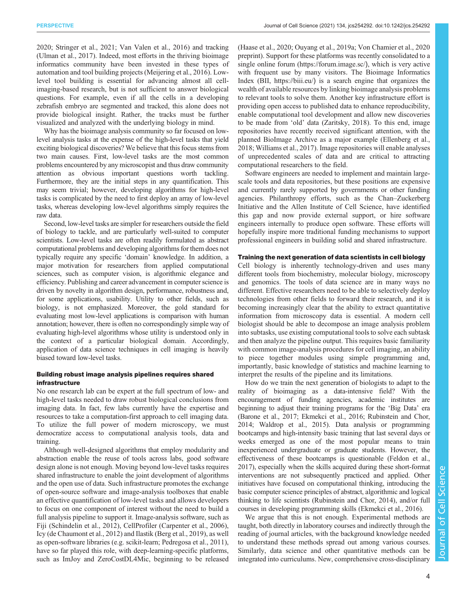[2020](#page-6-0); [Stringer et al., 2021; Van Valen et al., 2016\)](#page-6-0) and tracking [\(Ulman et al., 2017\)](#page-6-0). Indeed, most efforts in the thriving bioimage informatics community have been invested in these types of automation and tool building projects [\(Meijering et al., 2016](#page-6-0)). Lowlevel tool building is essential for advancing almost all cellimaging-based research, but is not sufficient to answer biological questions. For example, even if all the cells in a developing zebrafish embryo are segmented and tracked, this alone does not provide biological insight. Rather, the tracks must be further visualized and analyzed with the underlying biology in mind.

Why has the bioimage analysis community so far focused on lowlevel analysis tasks at the expense of the high-level tasks that yield exciting biological discoveries? We believe that this focus stems from two main causes. First, low-level tasks are the most common problems encountered by any microscopist and thus draw community attention as obvious important questions worth tackling. Furthermore, they are the initial steps in any quantification. This may seem trivial; however, developing algorithms for high-level tasks is complicated by the need to first deploy an array of low-level tasks, whereas developing low-level algorithms simply requires the raw data.

Second, low-level tasks are simpler for researchers outside the field of biology to tackle, and are particularly well-suited to computer scientists. Low-level tasks are often readily formulated as abstract computational problems and developing algorithms for them does not typically require any specific 'domain' knowledge. In addition, a major motivation for researchers from applied computational sciences, such as computer vision, is algorithmic elegance and efficiency. Publishing and career advancement in computer science is driven by novelty in algorithm design, performance, robustness and, for some applications, usability. Utility to other fields, such as biology, is not emphasized. Moreover, the gold standard for evaluating most low-level applications is comparison with human annotation; however, there is often no correspondingly simple way of evaluating high-level algorithms whose utility is understood only in the context of a particular biological domain. Accordingly, application of data science techniques in cell imaging is heavily biased toward low-level tasks.

# Building robust image analysis pipelines requires shared infrastructure

No one research lab can be expert at the full spectrum of low- and high-level tasks needed to draw robust biological conclusions from imaging data. In fact, few labs currently have the expertise and resources to take a computation-first approach to cell imaging data. To utilize the full power of modern microscopy, we must democratize access to computational analysis tools, data and training.

Although well-designed algorithms that employ modularity and abstraction enable the reuse of tools across labs, good software design alone is not enough. Moving beyond low-level tasks requires shared infrastructure to enable the joint development of algorithms and the open use of data. Such infrastructure promotes the exchange of open-source software and image-analysis toolboxes that enable an effective quantification of low-level tasks and allows developers to focus on one component of interest without the need to build a full analysis pipeline to support it. Image-analysis software, such as Fiji [\(Schindelin et al., 2012\)](#page-6-0), CellProfiler ([Carpenter et al., 2006\)](#page-5-0), Icy ([de Chaumont et al., 2012\)](#page-5-0) and Ilastik [\(Berg et al., 2019](#page-5-0)), as well as open-software libraries (e.g. scikit-learn; [Pedregosa et al., 2011\)](#page-6-0), have so far played this role, with deep-learning-specific platforms, such as ImJoy and ZeroCostDL4Mic, beginning to be released

[\(Haase et al., 2020;](#page-5-0) [Ouyang et al., 2019a; Von Chamier et al., 2020](#page-6-0) preprint). Support for these platforms was recently consolidated to a single online forum (<https://forum.image.sc/>), which is very active with frequent use by many visitors. The Bioimage Informatics Index (BII,<https://biii.eu/>) is a search engine that organizes the wealth of available resources by linking bioimage analysis problems to relevant tools to solve them. Another key infrastructure effort is providing open access to published data to enhance reproducibility, enable computational tool development and allow new discoveries to be made from 'old' data [\(Zaritsky, 2018](#page-7-0)). To this end, image repositories have recently received significant attention, with the planned BioImage Archive as a major example [\(Ellenberg et al.,](#page-5-0) [2018;](#page-5-0) [Williams et al., 2017\)](#page-6-0). Image repositories will enable analyses of unprecedented scales of data and are critical to attracting computational researchers to the field.

Software engineers are needed to implement and maintain largescale tools and data repositories, but these positions are expensive and currently rarely supported by governments or other funding agencies. Philanthropy efforts, such as the Chan–Zuckerberg Initiative and the Allen Institute of Cell Science, have identified this gap and now provide external support, or hire software engineers internally to produce open software. These efforts will hopefully inspire more traditional funding mechanisms to support professional engineers in building solid and shared infrastructure.

# Training the next generation of data scientists in cell biology

Cell biology is inherently technology-driven and uses many different tools from biochemistry, molecular biology, microscopy and genomics. The tools of data science are in many ways no different. Effective researchers need to be able to selectively deploy technologies from other fields to forward their research, and it is becoming increasingly clear that the ability to extract quantitative information from microscopy data is essential. A modern cell biologist should be able to decompose an image analysis problem into subtasks, use existing computational tools to solve each subtask and then analyze the pipeline output. This requires basic familiarity with common image-analysis procedures for cell imaging, an ability to piece together modules using simple programming and, importantly, basic knowledge of statistics and machine learning to interpret the results of the pipeline and its limitations.

How do we train the next generation of biologists to adapt to the reality of bioimaging as a data-intensive field? With the encouragement of funding agencies, academic institutes are beginning to adjust their training programs for the 'Big Data' era [\(Barone et al., 2017](#page-5-0); [Ekmekci et al., 2016;](#page-5-0) [Rubinstein and Chor,](#page-6-0) [2014; Waldrop et al., 2015\)](#page-6-0). Data analysis or programming bootcamps and high-intensity basic training that last several days or weeks emerged as one of the most popular means to train inexperienced undergraduate or graduate students. However, the effectiveness of these bootcamps is questionable [\(Feldon et al.,](#page-5-0) [2017\)](#page-5-0), especially when the skills acquired during these short-format interventions are not subsequently practiced and applied. Other initiatives have focused on computational thinking, introducing the basic computer science principles of abstract, algorithmic and logical thinking to life scientists [\(Rubinstein and Chor, 2014](#page-6-0)), and/or full courses in developing programming skills [\(Ekmekci et al., 2016](#page-5-0)).

We argue that this is not enough. Experimental methods are taught, both directly in laboratory courses and indirectly through the reading of journal articles, with the background knowledge needed to understand these methods spread out among various courses. Similarly, data science and other quantitative methods can be integrated into curriculums. New, comprehensive cross-disciplinary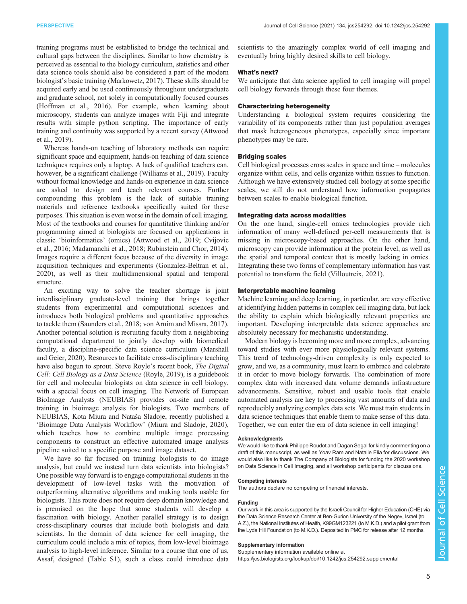training programs must be established to bridge the technical and cultural gaps between the disciplines. Similar to how chemistry is perceived as essential to the biology curriculum, statistics and other data science tools should also be considered a part of the modern biologist's basic training ([Markowetz, 2017](#page-6-0)). These skills should be acquired early and be used continuously throughout undergraduate and graduate school, not solely in computationally focused courses [\(Hoffman et al., 2016](#page-5-0)). For example, when learning about microscopy, students can analyze images with Fiji and integrate results with simple python scripting. The importance of early training and continuity was supported by a recent survey ([Attwood](#page-5-0) [et al., 2019\)](#page-5-0).

Whereas hands-on teaching of laboratory methods can require significant space and equipment, hands-on teaching of data science techniques requires only a laptop. A lack of qualified teachers can, however, be a significant challenge ([Williams et al., 2019](#page-6-0)). Faculty without formal knowledge and hands-on experience in data science are asked to design and teach relevant courses. Further compounding this problem is the lack of suitable training materials and reference textbooks specifically suited for these purposes. This situation is even worse in the domain of cell imaging. Most of the textbooks and courses for quantitative thinking and/or programming aimed at biologists are focused on applications in classic 'bioinformatics' (omics) [\(Attwood et al., 2019; Cvijovic](#page-5-0) [et al., 2016;](#page-5-0) [Madamanchi et al., 2018](#page-6-0); [Rubinstein and Chor, 2014\)](#page-6-0). Images require a different focus because of the diversity in image acquisition techniques and experiments ([Gonzalez-Beltran et al.,](#page-5-0) [2020](#page-5-0)), as well as their multidimensional spatial and temporal structure.

An exciting way to solve the teacher shortage is joint interdisciplinary graduate-level training that brings together students from experimental and computational sciences and introduces both biological problems and quantitative approaches to tackle them [\(Saunders et al., 2018](#page-6-0); [von Arnim and Missra, 2017\)](#page-6-0). Another potential solution is recruiting faculty from a neighboring computational department to jointly develop with biomedical faculty, a discipline-specific data science curriculum ([Marshall](#page-6-0) [and Geier, 2020](#page-6-0)). Resources to facilitate cross-disciplinary teaching have also begun to sprout. Steve Royle's recent book, The Digital Cell: Cell Biology as a Data Science [\(Royle, 2019](#page-6-0)), is a guidebook for cell and molecular biologists on data science in cell biology, with a special focus on cell imaging. The Network of European BioImage Analysts (NEUBIAS) provides on-site and remote training in bioimage analysis for biologists. Two members of NEUBIAS, Kota Miura and Nataša Sladoje, recently published a 'Bioimage Data Analysis Workflow' [\(Miura and Sladoje, 2020\)](#page-6-0), which teaches how to combine multiple image processing components to construct an effective automated image analysis pipeline suited to a specific purpose and image dataset.

We have so far focused on training biologists to do image analysis, but could we instead turn data scientists into biologists? One possible way forward is to engage computational students in the development of low-level tasks with the motivation of outperforming alternative algorithms and making tools usable for biologists. This route does not require deep domain knowledge and is premised on the hope that some students will develop a fascination with biology. Another parallel strategy is to design cross-disciplinary courses that include both biologists and data scientists. In the domain of data science for cell imaging, the curriculum could include a mix of topics, from low-level bioimage analysis to high-level inference. Similar to a course that one of us, Assaf, designed ([Table S1\)](http://jcs.biologists.org/lookup/doi/10.1242/jcs.254292.supplemental), such a class could introduce data

scientists to the amazingly complex world of cell imaging and eventually bring highly desired skills to cell biology.

# What's next?

We anticipate that data science applied to cell imaging will propel cell biology forwards through these four themes.

#### Characterizing heterogeneity

Understanding a biological system requires considering the variability of its components rather than just population averages that mask heterogeneous phenotypes, especially since important phenotypes may be rare.

## Bridging scales

Cell biological processes cross scales in space and time – molecules organize within cells, and cells organize within tissues to function. Although we have extensively studied cell biology at some specific scales, we still do not understand how information propagates between scales to enable biological function.

### Integrating data across modalities

On the one hand, single-cell omics technologies provide rich information of many well-defined per-cell measurements that is missing in microscopy-based approaches. On the other hand, microscopy can provide information at the protein level, as well as the spatial and temporal context that is mostly lacking in omics. Integrating these two forms of complementary information has vast potential to transform the field ([Villoutreix, 2021\)](#page-6-0).

# Interpretable machine learning

Machine learning and deep learning, in particular, are very effective at identifying hidden patterns in complex cell imaging data, but lack the ability to explain which biologically relevant properties are important. Developing interpretable data science approaches are absolutely necessary for mechanistic understanding.

Modern biology is becoming more and more complex, advancing toward studies with ever more physiologically relevant systems. This trend of technology-driven complexity is only expected to grow, and we, as a community, must learn to embrace and celebrate it in order to move biology forwards. The combination of more complex data with increased data volume demands infrastructure advancements. Sensitive, robust and usable tools that enable automated analysis are key to processing vast amounts of data and reproducibly analyzing complex data sets. We must train students in data science techniques that enable them to make sense of this data. Together, we can enter the era of data science in cell imaging!

#### Acknowledgments

We would like to thank Philippe Roudot and Dagan Segal for kindly commenting on a draft of this manuscript, as well as Yoav Ram and Natalie Elia for discussions. We would also like to thank The Company of Biologists for funding the 2020 workshop on Data Science in Cell Imaging, and all workshop participants for discussions.

#### Competing interests

The authors declare no competing or financial interests.

#### Funding

Our work in this area is supported by the Israeli Council for Higher Education (CHE) via the Data Science Research Center at Ben-Gurion University of the Negev, Israel (to A.Z.), the National Institutes of Health, K99GM123221 (to M.K.D.) and a pilot grant from the Lyda Hill Foundation (to M.K.D.). Deposited in PMC for release after 12 months.

#### Supplementary information

Supplementary information available online at <https://jcs.biologists.org/lookup/doi/10.1242/jcs.254292.supplemental>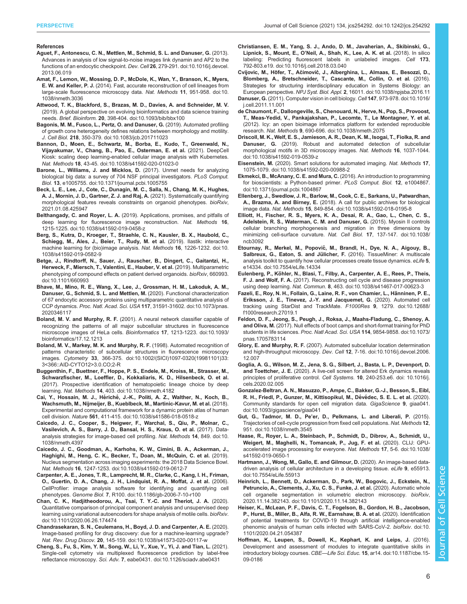#### <span id="page-5-0"></span>References

- [Aguet, F., Antonescu, C. N., Mettlen, M., Schmid, S. L. and Danuser, G.](https://doi.org/10.1016/j.devcel.2013.06.019) (2013). [Advances in analysis of low signal-to-noise images link dynamin and AP2 to the](https://doi.org/10.1016/j.devcel.2013.06.019) [functions of an endocytic checkpoint.](https://doi.org/10.1016/j.devcel.2013.06.019) Dev. Cell 26, 279-291. doi:10.1016/j.devcel. [2013.06.019](https://doi.org/10.1016/j.devcel.2013.06.019)
- [Amat, F., Lemon, W., Mossing, D. P., McDole, K., Wan, Y., Branson, K., Myers,](https://doi.org/10.1038/nmeth.3036) E. W. and Keller, P. J. [\(2014\). Fast, accurate reconstruction of cell lineages from](https://doi.org/10.1038/nmeth.3036) [large-scale fluorescence microscopy data.](https://doi.org/10.1038/nmeth.3036) Nat. Methods 11, 951-958. doi:10. [1038/nmeth.3036](https://doi.org/10.1038/nmeth.3036)
- [Attwood, T. K., Blackford, S., Brazas, M. D., Davies, A. and Schneider, M. V.](https://doi.org/10.1093/bib/bbx100) [\(2019\). A global perspective on evolving bioinformatics and data science training](https://doi.org/10.1093/bib/bbx100) needs. Brief. Bioinform. 20[, 398-404. doi:10.1093/bib/bbx100](https://doi.org/10.1093/bib/bbx100)
- [Bagonis, M. M., Fusco, L., Pertz, O. and Danuser, G.](https://doi.org/10.1083/jcb.201711023) (2019). Automated profiling [of growth cone heterogeneity defines relations between morphology and motility.](https://doi.org/10.1083/jcb.201711023) J. Cell Biol. 218[, 350-379. doi:10.1083/jcb.201711023](https://doi.org/10.1083/jcb.201711023)
- [Bannon, D., Moen, E., Schwartz, M., Borba, E., Kudo, T., Greenwald, N.,](https://doi.org/10.1038/s41592-020-01023-0) [Vijayakumar, V., Chang, B., Pao, E., Osterman, E. et al.](https://doi.org/10.1038/s41592-020-01023-0) (2021). DeepCell [Kiosk: scaling deep learning-enabled cellular image analysis with Kubernetes.](https://doi.org/10.1038/s41592-020-01023-0) Nat. Methods 18[, 43-45. doi:10.1038/s41592-020-01023-0](https://doi.org/10.1038/s41592-020-01023-0)
- [Barone, L., Williams, J. and Micklos, D.](https://doi.org/10.1371/journal.pcbi.1005755) (2017). Unmet needs for analyzing [biological big data: a survey of 704 NSF principal investigators.](https://doi.org/10.1371/journal.pcbi.1005755) PLoS Comput. Biol. 13[, e1005755. doi:10.1371/journal.pcbi.1005755](https://doi.org/10.1371/journal.pcbi.1005755)
- [Beck, L. E., Lee, J., Cote, C., Dunagin, M. C., Salla, N., Chang, M. K., Hughes,](https://doi.org/2021.01.08.425947) [A. J., Mornin, J. D., Gartner, Z. J. and Raj, A.](https://doi.org/2021.01.08.425947) (2021). Systematically quantifying [morphological features reveals constraints on organoid phenotypes.](https://doi.org/2021.01.08.425947) bioRxiv, [2021.01.08.425947](https://doi.org/2021.01.08.425947)
- Belthangady, C. and Royer, L. A. [\(2019\). Applications, promises, and pitfalls of](https://doi.org/10.1038/s41592-019-0458-z) [deep learning for fluorescence image reconstruction.](https://doi.org/10.1038/s41592-019-0458-z) Nat. Methods 16, [1215-1225. doi:10.1038/s41592-019-0458-z](https://doi.org/10.1038/s41592-019-0458-z)
- [Berg, S., Kutra, D., Kroeger, T., Straehle, C. N., Kausler, B. X., Haubold, C.,](https://doi.org/10.1038/s41592-019-0582-9) [Schiegg, M., Ales, J., Beier, T., Rudy, M. et al.](https://doi.org/10.1038/s41592-019-0582-9) (2019). Ilastik: interactive [machine learning for \(bio\)image analysis.](https://doi.org/10.1038/s41592-019-0582-9) Nat. Methods 16, 1226-1232. doi:10. [1038/s41592-019-0582-9](https://doi.org/10.1038/s41592-019-0582-9)
- [Betge, J., Rindtorff, N., Sauer, J., Rauscher, B., Dingert, C., Gaitantzi, H.,](https://doi.org/10.1101/660993) [Herweck, F., Miersch, T., Valentini, E., Hauber, V. et al.](https://doi.org/10.1101/660993) (2019). Multiparametric [phenotyping of compound effects on patient derived organoids.](https://doi.org/10.1101/660993) bioRxiv, 660993. [doi:10.1101/660993](https://doi.org/10.1101/660993)
- [Bhave, M., Mino, R. E., Wang, X., Lee, J., Grossman, H. M., Lakoduk, A. M.,](https://doi.org/10.1073/pnas.2020346117) [Danuser, G., Schmid, S. L. and Mettlen, M.](https://doi.org/10.1073/pnas.2020346117) (2020). Functional characterization [of 67 endocytic accessory proteins using multiparametric quantitative analysis of](https://doi.org/10.1073/pnas.2020346117) CCP dynamics. Proc. Natl. Acad. Sci. USA 117[, 31591-31602. doi:10.1073/pnas.](https://doi.org/10.1073/pnas.2020346117) [2020346117](https://doi.org/10.1073/pnas.2020346117)
- Boland, M. V. and Murphy, R. F. [\(2001\). A neural network classifier capable of](https://doi.org/10.1093/bioinformatics/17.12.1213) [recognizing the patterns of all major subcellular structures in fluorescence](https://doi.org/10.1093/bioinformatics/17.12.1213) [microscope images of HeLa cells.](https://doi.org/10.1093/bioinformatics/17.12.1213) Bioinformatics 17, 1213-1223. doi:10.1093/ [bioinformatics/17.12.1213](https://doi.org/10.1093/bioinformatics/17.12.1213)
- [Boland, M. V., Markey, M. K. and Murphy, R. F.](https://doi.org/10.1002/(SICI)1097-0320(19981101)33:3%3C366::AID-CYTO12%3E3.0.CO;2-R) (1998). Automated recognition of [patterns characteristic of subcellular structures in fluorescence microscopy](https://doi.org/10.1002/(SICI)1097-0320(19981101)33:3%3C366::AID-CYTO12%3E3.0.CO;2-R) images. Cytometry 33[, 366-375. doi:10.1002/\(SICI\)1097-0320\(19981101\)33:](https://doi.org/10.1002/(SICI)1097-0320(19981101)33:3%3C366::AID-CYTO12%3E3.0.CO;2-R) [3<366::AID-CYTO12>3.0.CO;2-R](https://doi.org/10.1002/(SICI)1097-0320(19981101)33:3%3C366::AID-CYTO12%3E3.0.CO;2-R)
- [Buggenthin, F., Buettner, F., Hoppe, P. S., Endele, M., Kroiss, M., Strasser, M.,](https://doi.org/10.1038/nmeth.4182) [Schwarzfischer, M., Loeffler, D., Kokkaliaris, K. D., Hilsenbeck, O. et al.](https://doi.org/10.1038/nmeth.4182) [\(2017\). Prospective identification of hematopoietic lineage choice by deep](https://doi.org/10.1038/nmeth.4182) learning. Nat. Methods 14[, 403. doi:10.1038/nmeth.4182](https://doi.org/10.1038/nmeth.4182)
- Cai, Y., Hossain, M. J., Hériché[, J.-K., Politi, A. Z., Walther, N., Koch, B.,](https://doi.org/10.1038/s41586-018-0518-z) [Wachsmuth, M., Nijmeijer, B., Kueblbeck, M., Martinic-Kavur, M. et al.](https://doi.org/10.1038/s41586-018-0518-z) (2018). [Experimental and computational framework for a dynamic protein atlas of human](https://doi.org/10.1038/s41586-018-0518-z) cell division. Nature 561[, 411-415. doi:10.1038/s41586-018-0518-z](https://doi.org/10.1038/s41586-018-0518-z)
- [Caicedo, J. C., Cooper, S., Heigwer, F., Warchal, S., Qiu, P., Molnar, C.,](https://doi.org/10.1038/nmeth.4397) [Vasilevich, A. S., Barry, J. D., Bansal, H. S., Kraus, O. et al.](https://doi.org/10.1038/nmeth.4397) (2017). Data[analysis strategies for image-based cell profiling.](https://doi.org/10.1038/nmeth.4397) Nat. Methods 14, 849. doi:10. [1038/nmeth.4397](https://doi.org/10.1038/nmeth.4397)
- [Caicedo, J. C., Goodman, A., Karhohs, K. W., Cimini, B. A., Ackerman, J.,](https://doi.org/10.1038/s41592-019-0612-7) [Haghighi, M., Heng, C. K., Becker, T., Doan, M., McQuin, C. et al.](https://doi.org/10.1038/s41592-019-0612-7) (2019). [Nucleus segmentation across imaging experiments: the 2018 Data Science Bowl.](https://doi.org/10.1038/s41592-019-0612-7) Nat. Methods 16[, 1247-1253. doi:10.1038/s41592-019-0612-7](https://doi.org/10.1038/s41592-019-0612-7)
- [Carpenter, A. E., Jones, T. R., Lamprecht, M. R., Clarke, C., Kang, I. H., Friman,](https://doi.org/10.1186/gb-2006-7-10-r100) [O., Guertin, D. A., Chang, J. H., Lindquist, R. A., Moffat, J. et al.](https://doi.org/10.1186/gb-2006-7-10-r100) (2006). [CellProfiler: image analysis software for identifying and quantifying cell](https://doi.org/10.1186/gb-2006-7-10-r100) phenotypes. Genome Biol. 7[, R100. doi:10.1186/gb-2006-7-10-r100](https://doi.org/10.1186/gb-2006-7-10-r100)
- [Chan, C. K., Hadjitheodorou, A., Tsai, T. Y.-C. and Theriot, J. A.](https://doi.org/10.1101/2020.06.26.174474) (2020). [Quantitative comparison of principal component analysis and unsupervised deep](https://doi.org/10.1101/2020.06.26.174474) [learning using variational autoencoders for shape analysis of motile cells.](https://doi.org/10.1101/2020.06.26.174474) bioRxiv. [doi:10.1101/2020.06.26.174474](https://doi.org/10.1101/2020.06.26.174474)
- [Chandrasekaran, S. N., Ceulemans, H., Boyd, J. D. and Carpenter, A. E.](https://doi.org/10.1038/s41573-020-00117-w) (2020). [Image-based profiling for drug discovery: due for a machine-learning upgrade?](https://doi.org/10.1038/s41573-020-00117-w) Nat. Rev. Drug Discov. 20[, 145-159. doi:10.1038/s41573-020-00117-w](https://doi.org/10.1038/s41573-020-00117-w)
- [Cheng, S., Fu, S., Kim, Y. M., Song, W., Li, Y., Xue, Y., Yi, J. and Tian, L.](https://doi.org/10.1126/sciadv.abe0431) (2021). [Single-cell cytometry via multiplexed fluorescence prediction by label-free](https://doi.org/10.1126/sciadv.abe0431) reflectance microscopy. Sci. Adv. 7[, eabe0431. doi:10.1126/sciadv.abe0431](https://doi.org/10.1126/sciadv.abe0431)
- [Christiansen, E. M., Yang, S. J., Ando, D. M., Javaherian, A., Skibinski, G.,](https://doi.org/10.1016/j.cell.2018.03.040) Lipnick, S., Mount, E., O'[Neil, A., Shah, K., Lee, A. K. et al.](https://doi.org/10.1016/j.cell.2018.03.040) (2018). In silico [labeling: Predicting fluorescent labels in unlabeled images.](https://doi.org/10.1016/j.cell.2018.03.040) Cell 173, [792-803.e19. doi:10.1016/j.cell.2018.03.040](https://doi.org/10.1016/j.cell.2018.03.040)
- Cvijovic, M., Höfer, T., Aćimović[, J., Alberghina, L., Almaas, E., Besozzi, D.,](https://doi.org/10.1038/npjsba.2016.11) [Blomberg, A., Bretschneider, T., Cascante, M., Collin, O. et al.](https://doi.org/10.1038/npjsba.2016.11) (2016). [Strategies for structuring interdisciplinary education in Systems Biology: an](https://doi.org/10.1038/npjsba.2016.11) European perspective. NPJ Syst. Biol. Appl. 2[, 16011. doi:10.1038/npjsba.2016.11](https://doi.org/10.1038/npjsba.2016.11)
- Danuser, G. [\(2011\). Computer vision in cell biology.](https://doi.org/10.1016/j.cell.2011.11.001) Cell 147, 973-978. doi:10.1016/ [j.cell.2011.11.001](https://doi.org/10.1016/j.cell.2011.11.001)
- [de Chaumont, F., Dallongeville, S., Chenouard, N., Herve, N., Pop, S., Provoost,](https://doi.org/10.1038/nmeth.2075) [T., Meas-Yedid, V., Pankajakshan, P., Lecomte, T., Le Montagner, Y. et al.](https://doi.org/10.1038/nmeth.2075) [\(2012\). Icy: an open bioimage informatics platform for extended reproducible](https://doi.org/10.1038/nmeth.2075) research. Nat. Methods 9[, 690-696. doi:10.1038/nmeth.2075](https://doi.org/10.1038/nmeth.2075)
- [Driscoll, M. K., Welf, E. S., Jamieson, A. R., Dean, K. M., Isogai, T., Fiolka, R. and](https://doi.org/10.1038/s41592-019-0539-z) Danuser, G. [\(2019\). Robust and automated detection of subcellular](https://doi.org/10.1038/s41592-019-0539-z) [morphological motifs in 3D microscopy images.](https://doi.org/10.1038/s41592-019-0539-z) Nat. Methods 16, 1037-1044. [doi:10.1038/s41592-019-0539-z](https://doi.org/10.1038/s41592-019-0539-z)
- Eisenstein, M. [\(2020\). Smart solutions for automated imaging.](https://doi.org/10.1038/s41592-020-00988-2) Nat. Methods 17, [1075-1079. doi:10.1038/s41592-020-00988-2](https://doi.org/10.1038/s41592-020-00988-2)
- [Ekmekci, B., McAnany, C. E. and Mura, C.](https://doi.org/10.1371/journal.pcbi.1004867) (2016). An introduction to programming [for bioscientists: a Python-based primer.](https://doi.org/10.1371/journal.pcbi.1004867) PLoS Comput. Biol. 12, e1004867. [doi:10.1371/journal.pcbi.1004867](https://doi.org/10.1371/journal.pcbi.1004867)
- [Ellenberg, J., Swedlow, J. R., Barlow, M., Cook, C. E., Sarkans, U., Patwardhan,](https://doi.org/10.1038/s41592-018-0195-8) A., Brazma, A. and Birney, E. [\(2018\). A call for public archives for biological](https://doi.org/10.1038/s41592-018-0195-8) image data. Nat. Methods 15[, 849-854. doi:10.1038/s41592-018-0195-8](https://doi.org/10.1038/s41592-018-0195-8)
- [Elliott, H., Fischer, R. S., Myers, K. A., Desai, R. A., Gao, L., Chen, C. S.,](https://doi.org/10.1038/ncb3092) [Adelstein, R. S., Waterman, C. M. and Danuser, G.](https://doi.org/10.1038/ncb3092) (2015). Myosin II controls [cellular branching morphogenesis and migration in three dimensions by](https://doi.org/10.1038/ncb3092) [minimizing cell-surface curvature.](https://doi.org/10.1038/ncb3092) Nat. Cell Biol. 17, 137-147. doi:10.1038/ [ncb3092](https://doi.org/10.1038/ncb3092)
- Etournay, R., Merkel, M., Popović[, M., Brandl, H., Dye, N. A., Aigouy, B.,](https://doi.org/10.7554/eLife.14334) Salbreux, G., Eaton, S. and Jülicher, F. [\(2016\). TissueMiner: A multiscale](https://doi.org/10.7554/eLife.14334) [analysis toolkit to quantify how cellular processes create tissue dynamics.](https://doi.org/10.7554/eLife.14334) eLife 5, [e14334. doi:10.7554/eLife.14334](https://doi.org/10.7554/eLife.14334)
- Eulenberg, P., Kö[hler, N., Blasi, T., Filby, A., Carpenter, A. E., Rees, P., Theis,](https://doi.org/10.1038/s41467-017-00623-3) F. J. and Wolf, F. A. [\(2017\). Reconstructing cell cycle and disease progression](https://doi.org/10.1038/s41467-017-00623-3) using deep learning. Nat. Commun. 8[, 463. doi:10.1038/s41467-017-00623-3](https://doi.org/10.1038/s41467-017-00623-3)
- [Fazeli, E., Roy, N. H., Follain, G., Laine, R. F., von Chamier, L., Ha](https://doi.org/10.12688/f1000research.27019.1)̈nninen, P. E., [Eriksson, J. E., Tinevez, J.-Y. and Jacquemet, G.](https://doi.org/10.12688/f1000research.27019.1) (2020). Automated cell [tracking using StarDist and TrackMate.](https://doi.org/10.12688/f1000research.27019.1) F1000Res 9, 1279. doi:10.12688/ [f1000research.27019.1](https://doi.org/10.12688/f1000research.27019.1)
- [Feldon, D. F., Jeong, S., Peugh, J., Roksa, J., Maahs-Fladung, C., Shenoy, A.](https://doi.org/10.1073/pnas.1705783114) and Oliva, M. [\(2017\). Null effects of boot camps and short-format training for PhD](https://doi.org/10.1073/pnas.1705783114) students in life sciences. Proc. Natl Acad. Sci. USA 114[, 9854-9858. doi:10.1073/](https://doi.org/10.1073/pnas.1705783114) [pnas.1705783114](https://doi.org/10.1073/pnas.1705783114)
- Glory, E. and Murphy, R. F. [\(2007\). Automated subcellular location determination](https://doi.org/10.1016/j.devcel.2006.12.007) and high-throughput microscopy. Dev. Cell 12[, 7-16. doi:10.1016/j.devcel.2006.](https://doi.org/10.1016/j.devcel.2006.12.007) [12.007](https://doi.org/10.1016/j.devcel.2006.12.007)
- [Goglia, A. G., Wilson, M. Z., Jena, S. G., Silbert, J., Basta, L. P., Devenport, D.](https://doi.org/ 10.1016/j.cels.2020.02.005) and Toettcher, J. E. [\(2020\). A live-cell screen for altered Erk dynamics reveals](https://doi.org/ 10.1016/j.cels.2020.02.005) [principles of proliferative control.](https://doi.org/ 10.1016/j.cels.2020.02.005) Cell Systems. 10, 240-253.e6. doi: 10.1016/j. [cels.2020.02.005](https://doi.org/ 10.1016/j.cels.2020.02.005)
- [Gonzalez-Beltran, A. N., Masuzzo, P., Ampe, C., Bakker, G.-J., Besson, S., Eibl,](https://doi.org/10.1093/gigascience/giaa041) [R. H., Friedl, P., Gunzer, M., Kittisopikul, M., De](https://doi.org/10.1093/gigascience/giaa041)́védec, S. E. L. et al. (2020). [Community standards for open cell migration data.](https://doi.org/10.1093/gigascience/giaa041) GigaScience 9, giaa041. [doi:10.1093/gigascience/giaa041](https://doi.org/10.1093/gigascience/giaa041)
- Gut, G., Tadmor, M. D., Pe'[er, D., Pelkmans, L. and Liberali, P.](https://doi.org/10.1038/nmeth.3545) (2015). [Trajectories of cell-cycle progression from fixed cell populations.](https://doi.org/10.1038/nmeth.3545) Nat. Methods 12, [951. doi:10.1038/nmeth.3545](https://doi.org/10.1038/nmeth.3545)
- [Haase, R., Royer, L. A., Steinbach, P., Schmidt, D., Dibrov, A., Schmidt, U.,](https://doi.org/10.1038/s41592-019-0650-1) [Weigert, M., Maghelli, N., Tomancak, P., Jug, F. et al.](https://doi.org/10.1038/s41592-019-0650-1) (2020). CLIJ: GPU[accelerated image processing for everyone.](https://doi.org/10.1038/s41592-019-0650-1) Nat. Methods 17, 5-6. doi:10.1038/ [s41592-019-0650-1](https://doi.org/10.1038/s41592-019-0650-1)
- [Hartmann, J., Wong, M., Gallo, E. and Gilmour, D.](https://doi.org/10.7554/eLife.55913) (2020). An image-based data[driven analysis of cellular architecture in a developing tissue.](https://doi.org/10.7554/eLife.55913) eLife 9, e55913. [doi:10.7554/eLife.55913](https://doi.org/10.7554/eLife.55913)
- [Heinrich, L., Bennett, D., Ackerman, D., Park, W., Bogovic, J., Eckstein, N.,](https://doi.org/10.1101/2020.11.14.382143) [Petruncio, A., Clements, J., Xu, C. S., Funke, J. et al.](https://doi.org/10.1101/2020.11.14.382143) (2020). Automatic whole [cell organelle segmentation in volumetric electron microscopy.](https://doi.org/10.1101/2020.11.14.382143) bioRxiv, [2020.11.14.382143. doi:10.1101/2020.11.14.382143](https://doi.org/10.1101/2020.11.14.382143)
- [Heiser, K., McLean, P. F., Davis, C. T., Fogelson, B., Gordon, H. B., Jacobson,](https://doi.org/10.1101/2020.04.21.054387) [P., Hurst, B., Miller, B., Alfa, R. W., Earnshaw, B. A. et al.](https://doi.org/10.1101/2020.04.21.054387) (2020). Identification [of potential treatments for COVID-19 through artificial intelligence-enabled](https://doi.org/10.1101/2020.04.21.054387) [phenomic analysis of human cells infected with SARS-CoV-2.](https://doi.org/10.1101/2020.04.21.054387) bioRxiv. doi:10. [1101/2020.04.21.054387](https://doi.org/10.1101/2020.04.21.054387)
- [Hoffman, K., Leupen, S., Dowell, K., Kephart, K. and Leips, J.](https://doi.org/10.1187/cbe.15-09-0186) (2016). [Development and assessment of modules to integrate quantitative skills in](https://doi.org/10.1187/cbe.15-09-0186) [introductory biology courses.](https://doi.org/10.1187/cbe.15-09-0186) CBE—Life Sci. Educ. 15, ar14. doi:10.1187/cbe.15- [09-0186](https://doi.org/10.1187/cbe.15-09-0186)

Science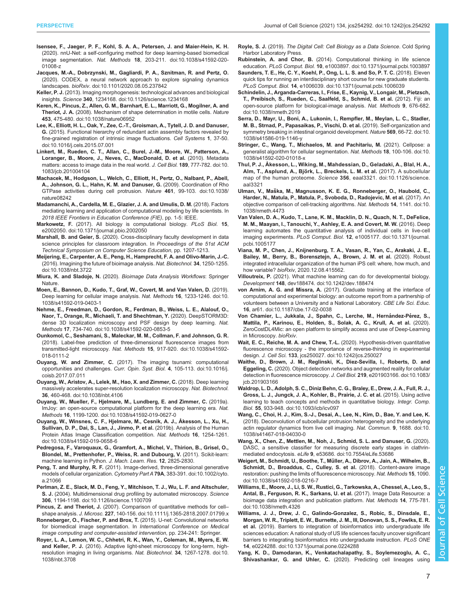- <span id="page-6-0"></span>[Isensee, F., Jaeger, P. F., Kohl, S. A. A., Petersen, J. and Maier-Hein, K. H.](https://doi.org/10.1038/s41592-020-01008-z) [\(2020\). nnU-Net: a self-configuring method for deep learning-based biomedical](https://doi.org/10.1038/s41592-020-01008-z) image segmentation. Nat. Methods 18[, 203-211. doi:10.1038/s41592-020-](https://doi.org/10.1038/s41592-020-01008-z) [01008-z](https://doi.org/10.1038/s41592-020-01008-z)
- [Jacques, M.-A., Dobrzynski, M., Gagliardi, P. A., Sznitman, R. and Pertz, O.](https://doi.org/10.1101/2020.08.05.237842) [\(2020\). CODEX, a neural network approach to explore signaling dynamics](https://doi.org/10.1101/2020.08.05.237842) landscapes. bioRxiv[. doi:10.1101/2020.08.05.237842](https://doi.org/10.1101/2020.08.05.237842)
- Keller, P. J. [\(2013\). Imaging morphogenesis: technological advances and biological](https://doi.org/10.1126/science.1234168) insights. Science 340[, 1234168. doi:10.1126/science.1234168](https://doi.org/10.1126/science.1234168)
- [Keren, K., Pincus, Z., Allen, G. M., Barnhart, E. L., Marriott, G., Mogilner, A. and](https://doi.org/10.1038/nature06952) Theriot, J. A. [\(2008\). Mechanism of shape determination in motile cells.](https://doi.org/10.1038/nature06952) Nature 453[, 475-480. doi:10.1038/nature06952](https://doi.org/10.1038/nature06952)
- [Lee, K., Elliott, H. L., Oak, Y., Zee, C.-T., Groisman, A., Tytell, J. D. and Danuser,](https://doi.org/10.1016/j.cels.2015.07.001) G. [\(2015\). Functional hierarchy of redundant actin assembly factors revealed by](https://doi.org/10.1016/j.cels.2015.07.001) [fine-grained registration of intrinsic image fluctuations.](https://doi.org/10.1016/j.cels.2015.07.001) Cell Systems 1, 37-50. [doi:10.1016/j.cels.2015.07.001](https://doi.org/10.1016/j.cels.2015.07.001)
- [Linkert, M., Rueden, C. T., Allan, C., Burel, J.-M., Moore, W., Patterson, A.,](https://doi.org/10.1083/jcb.201004104) [Loranger, B., Moore, J., Neves, C., MacDonald, D. et al.](https://doi.org/10.1083/jcb.201004104) (2010). Metadata [matters: access to image data in the real world.](https://doi.org/10.1083/jcb.201004104) J. Cell Biol. 189, 777-782. doi:10. [1083/jcb.201004104](https://doi.org/10.1083/jcb.201004104)
- [Machacek, M., Hodgson, L., Welch, C., Elliott, H., Pertz, O., Nalbant, P., Abell,](https://doi.org/10.1038/nature08242) [A., Johnson, G. L., Hahn, K. M. and Danuser, G.](https://doi.org/10.1038/nature08242) (2009). Coordination of Rho [GTPase activities during cell protrusion.](https://doi.org/10.1038/nature08242) Nature 461, 99-103. doi:10.1038/ [nature08242](https://doi.org/10.1038/nature08242)
- Madamanchi, A., Cardella, M. E., Glazier, J. A. and Umulis, D. M. (2018). Factors mediating learning and application of computational modeling by life scientists. In 2018 IEEE Frontiers in Education Conference (FIE), pp. 1-5: IEEE.
- Markowetz, F. [\(2017\). All biology is computational biology.](https://doi.org/10.1371/journal.pbio.2002050) PLoS Biol. 15, [e2002050. doi:10.1371/journal.pbio.2002050](https://doi.org/10.1371/journal.pbio.2002050)
- Marshall, B. and Geier, S. (2020). Cross-disciplinary faculty development in data science principles for classroom integration. In Proceedings of the 51st ACM Technical Symposium on Computer Science Education, pp. 1207-1213.
- [Meijering, E., Carpenter, A. E., Peng, H., Hamprecht, F. A. and Olivo-Marin, J.-C.](https://doi.org/10.1038/nbt.3722) [\(2016\). Imagining the future of bioimage analysis.](https://doi.org/10.1038/nbt.3722) Nat. Biotechnol. 34, 1250-1255. [doi:10.1038/nbt.3722](https://doi.org/10.1038/nbt.3722)
- Miura, K. and Sladoje, N. (2020). Bioimage Data Analysis Workflows: Springer Nature.
- [Moen, E., Bannon, D., Kudo, T., Graf, W., Covert, M. and Van Valen, D.](https://doi.org/10.1038/s41592-019-0403-1) (2019). [Deep learning for cellular image analysis.](https://doi.org/10.1038/s41592-019-0403-1) Nat. Methods 16, 1233-1246. doi:10. [1038/s41592-019-0403-1](https://doi.org/10.1038/s41592-019-0403-1)
- [Nehme, E., Freedman, D., Gordon, R., Ferdman, B., Weiss, L. E., Alalouf, O.,](https://doi.org/10.1038/s41592-020-0853-5) [Naor, T., Orange, R., Michaeli, T. and Shechtman, Y.](https://doi.org/10.1038/s41592-020-0853-5) (2020). DeepSTORM3D: [dense 3D localization microscopy and PSF design by deep learning.](https://doi.org/10.1038/s41592-020-0853-5) Nat. Methods 17[, 734-740. doi:10.1038/s41592-020-0853-5](https://doi.org/10.1038/s41592-020-0853-5)
- [Ounkomol, C., Seshamani, S., Maleckar, M. M., Collman, F. and Johnson, G. R.](https://doi.org/10.1038/s41592-018-0111-2) [\(2018\). Label-free prediction of three-dimensional fluorescence images from](https://doi.org/10.1038/s41592-018-0111-2) transmitted-light microscopy. Nat. Methods 15[, 917-920. doi:10.1038/s41592-](https://doi.org/10.1038/s41592-018-0111-2) [018-0111-2](https://doi.org/10.1038/s41592-018-0111-2)
- Ouyang, W. and Zimmer, C. [\(2017\). The imaging tsunami: computational](https://doi.org/10.1016/j.coisb.2017.07.011) [opportunities and challenges.](https://doi.org/10.1016/j.coisb.2017.07.011) Curr. Opin. Syst. Biol. 4, 105-113. doi:10.1016/j. [coisb.2017.07.011](https://doi.org/10.1016/j.coisb.2017.07.011)
- [Ouyang, W., Aristov, A., Lelek, M., Hao, X. and Zimmer, C.](https://doi.org/10.1038/nbt.4106) (2018). Deep learning [massively accelerates super-resolution localization microscopy.](https://doi.org/10.1038/nbt.4106) Nat. Biotechnol. 36[, 460-468. doi:10.1038/nbt.4106](https://doi.org/10.1038/nbt.4106)
- [Ouyang, W., Mueller, F., Hjelmare, M., Lundberg, E. and Zimmer, C.](https://doi.org/10.1038/s41592-019-0627-0) (2019a). [ImJoy: an open-source computational platform for the deep learning era.](https://doi.org/10.1038/s41592-019-0627-0) Nat. Methods 16[, 1199-1200. doi:10.1038/s41592-019-0627-0](https://doi.org/10.1038/s41592-019-0627-0)
- [Ouyang, W., Winsnes, C. F., Hjelmare, M., Cesnik, A. J., Åkesson, L., Xu, H.,](https://doi.org/10.1038/s41592-019-0658-6) [Sullivan, D. P., Dai, S., Lan, J., Jinmo, P. et al.](https://doi.org/10.1038/s41592-019-0658-6) (2019b). Analysis of the Human [Protein Atlas Image Classification competition.](https://doi.org/10.1038/s41592-019-0658-6) Nat. Methods 16, 1254-1261. [doi:10.1038/s41592-019-0658-6](https://doi.org/10.1038/s41592-019-0658-6)
- Pedregosa, F., Varoquaux, G., Gramfort, A., Michel, V., Thirion, B., Grisel, O., Blondel, M., Prettenhofer, P., Weiss, R. and Dubourg, V. (2011). Scikit-learn: machine learning in Python. J. Mach. Learn. Res. 12, 2825-2830.
- Peng, T. and Murphy, R. F. [\(2011\). Image-derived, three-dimensional generative](https://doi.org/10.1002/cyto.a.21066) [models of cellular organization.](https://doi.org/10.1002/cyto.a.21066) Cytometry Part A 79A, 383-391. doi:10.1002/cyto. [a.21066](https://doi.org/10.1002/cyto.a.21066)
- [Perlman, Z. E., Slack, M. D., Feng, Y., Mitchison, T. J., Wu, L. F. and Altschuler,](https://doi.org/10.1126/science.1100709) S. J. [\(2004\). Multidimensional drug profiling by automated microscopy.](https://doi.org/10.1126/science.1100709) Science 306[, 1194-1198. doi:10.1126/science.1100709](https://doi.org/10.1126/science.1100709)
- Pincus, Z. and Theriot, J. [\(2007\). Comparison of quantitative methods for cell](https://doi.org/10.1111/j.1365-2818.2007.01799.x)shape analysis. J. Microsc. 227[, 140-156. doi:10.1111/j.1365-2818.2007.01799.x](https://doi.org/10.1111/j.1365-2818.2007.01799.x)
- Ronneberger, O., Fischer, P. and Brox, T. (2015). U-net: Convolutional networks for biomedical image segmentation. In International Conference on Medical image computing and computer-assisted intervention, pp. 234-241: Springer.
- [Royer, L. A., Lemon, W. C., Chhetri, R. K., Wan, Y., Coleman, M., Myers, E. W.](https://doi.org/10.1038/nbt.3708) and Keller, P. J. [\(2016\). Adaptive light-sheet microscopy for long-term, high](https://doi.org/10.1038/nbt.3708)[resolution imaging in living organisms.](https://doi.org/10.1038/nbt.3708) Nat. Biotechnol. 34, 1267-1278. doi:10. [1038/nbt.3708](https://doi.org/10.1038/nbt.3708)
- Royle, S. J. (2019). The Digital Cell: Cell Biology as a Data Science. Cold Spring Harbor Laboratory Press.
- Rubinstein, A. and Chor, B. [\(2014\). Computational thinking in life science](https://doi.org/10.1371/journal.pcbi.1003897) education. PLoS Comput. Biol. 10[, e1003897. doi:10.1371/journal.pcbi.1003897](https://doi.org/10.1371/journal.pcbi.1003897)
- [Saunders, T. E., He, C. Y., Koehl, P., Ong, L. L. S. and So, P. T. C.](https://doi.org/10.1371/journal.pcbi.1006039) (2018). Eleven [quick tips for running an interdisciplinary short course for new graduate students.](https://doi.org/10.1371/journal.pcbi.1006039) PLoS Comput. Biol. 14[, e1006039. doi:10.1371/journal.pcbi.1006039](https://doi.org/10.1371/journal.pcbi.1006039)
- [Schindelin, J., Arganda-Carreras, I., Frise, E., Kaynig, V., Longair, M., Pietzsch,](https://doi.org/10.1038/nmeth.2019) [T., Preibisch, S., Rueden, C., Saalfeld, S., Schmid, B. et al.](https://doi.org/10.1038/nmeth.2019) (2012). Fiji: an [open-source platform for biological-image analysis.](https://doi.org/10.1038/nmeth.2019) Nat. Methods 9, 676-682. [doi:10.1038/nmeth.2019](https://doi.org/10.1038/nmeth.2019)
- [Serra, D., Mayr, U., Boni, A., Lukonin, I., Rempfler, M., Meylan, L. C., Stadler,](https://doi.org/10.1038/s41586-019-1146-y) [M. B., Strnad, P., Papasaikas, P., Vischi, D. et al.](https://doi.org/10.1038/s41586-019-1146-y) (2019). Self-organization and [symmetry breaking in intestinal organoid development.](https://doi.org/10.1038/s41586-019-1146-y) Nature 569, 66-72. doi:10. [1038/s41586-019-1146-y](https://doi.org/10.1038/s41586-019-1146-y)
- [Stringer, C., Wang, T., Michaelos, M. and Pachitariu, M.](https://doi.org/10.1038/s41592-020-01018-x) (2021). Cellpose: a [generalist algorithm for cellular segmentation.](https://doi.org/10.1038/s41592-020-01018-x) Nat. Methods 18, 100-106. doi:10. [1038/s41592-020-01018-x](https://doi.org/10.1038/s41592-020-01018-x)
- [Thul, P. J., Åkesson, L., Wiking, M., Mahdessian, D., Geladaki, A., Blal, H. A.,](https://doi.org/10.1126/science.aal3321) Alm, T., Asplund, A., Bjö[rk, L., Breckels, L. M. et al.](https://doi.org/10.1126/science.aal3321) (2017). A subcellular map of the human proteome. Science 356[, eaal3321. doi:10.1126/science.](https://doi.org/10.1126/science.aal3321) [aal3321](https://doi.org/10.1126/science.aal3321)
- Ulman, V., Maš[ka, M., Magnusson, K. E. G., Ronneberger, O., Haubold, C.,](https://doi.org/10.1038/nmeth.4473) [Harder, N., Matula, P., Matula, P., Svoboda, D., Radojevic, M. et al.](https://doi.org/10.1038/nmeth.4473) (2017). An [objective comparison of cell-tracking algorithms.](https://doi.org/10.1038/nmeth.4473) Nat. Methods 14, 1141. doi:10. [1038/nmeth.4473](https://doi.org/10.1038/nmeth.4473)
- [Van Valen, D. A., Kudo, T., Lane, K. M., Macklin, D. N.,](https://doi.org/10.1371/journal.pcbi.1005177) Quach, N. T., DeFelice, [M. M., Maayan, I., Tanouchi, Y., Ashley, E. A. and Covert, M. W.](https://doi.org/10.1371/journal.pcbi.1005177) (2016). Deep [learning automates the quantitative analysis of individual cells in live-cell](https://doi.org/10.1371/journal.pcbi.1005177) imaging experiments. PLoS Comput. Biol. 12[, e1005177. doi:10.1371/journal.](https://doi.org/10.1371/journal.pcbi.1005177) [pcbi.1005177](https://doi.org/10.1371/journal.pcbi.1005177)
- Viana, M. P., Chen, J., Knijnenburg, T. A., Vasan, R., Yan, C., Arakaki, J. E., Bailey, M., Berry, B., Borensztejn, A., Brown, J. M. et al. (2020). Robust integrated intracellular organization of the human iPS cell: where, how much, and how variable? bioRxiv, 2020.12.08.415562.
- Villoutreix, P. [\(2021\). What machine learning can do for developmental biology.](https://doi.org/10.1242/dev.188474) Development 148[, dev188474. doi:10.1242/dev.188474](https://doi.org/10.1242/dev.188474)
- von Arnim, A. G. and Missra, A. [\(2017\). Graduate training at the interface of](https://doi.org/10.1187/cbe.17-02-0038) [computational and experimental biology: an outcome report from a partnership of](https://doi.org/10.1187/cbe.17-02-0038) [volunteers between a University and a National Laboratory.](https://doi.org/10.1187/cbe.17-02-0038) CBE Life Sci. Educ. 16[, ar61. doi:10.1187/cbe.17-02-0038](https://doi.org/10.1187/cbe.17-02-0038)
- Von Chamier, L., Jukkala, J., Spahn, C., Lerche, M., Hernández-Pérez, S., Mattila, P., Karinou, E., Holden, S., Solak, A. C., Krull, A. et al. (2020). ZeroCostDL4Mic: an open platform to simplify access and use of Deep-Learning in Microscopy. bioRxiv.
- [Wait, E. C., Reiche, M. A. and Chew, T.-L.](https://doi.org/10.1242/jcs.250027) (2020). Hypothesis-driven quantitative [fluorescence microscopy - the importance of reverse-thinking in experimental](https://doi.org/10.1242/jcs.250027) design. J. Cell Sci. 133[, jcs250027. doi:10.1242/jcs.250027](https://doi.org/10.1242/jcs.250027)
- [Waithe, D., Brown, J. M., Reglinski, K., Diez-Sevilla, I., Roberts, D. and](https://doi.org/10.1083/jcb.201903166) Eggeling, C. [\(2020\). Object detection networks and augmented reality for cellular](https://doi.org/10.1083/jcb.201903166) [detection in fluorescence microscopy.](https://doi.org/10.1083/jcb.201903166) J. Cell Biol. 219, e201903166. doi:10.1083/ [jcb.201903166](https://doi.org/10.1083/jcb.201903166)
- [Waldrop, L. D., Adolph, S. C., Diniz Behn, C. G., Braley, E., Drew, J. A., Full, R. J.,](https://doi.org/10.1093/icb/icv097) [Gross, L. J., Jungck, J. A., Kohler, B., Prairie, J. C. et al.](https://doi.org/10.1093/icb/icv097) (2015). Using active [learning to teach concepts and methods in quantitative biology.](https://doi.org/10.1093/icb/icv097) Integr. Comp. Biol. 55[, 933-948. doi:10.1093/icb/icv097](https://doi.org/10.1093/icb/icv097)
- [Wang, C., Choi, H. J., Kim, S.-J., Desai, A., Lee, N., Kim, D., Bae, Y. and Lee, K.](https://doi.org/10.1038/s41467-018-04030-0) [\(2018\). Deconvolution of subcellular protrusion heterogeneity and the underlying](https://doi.org/10.1038/s41467-018-04030-0) [actin regulator dynamics from live cell imaging.](https://doi.org/10.1038/s41467-018-04030-0) Nat. Commun. 9, 1688. doi:10. [1038/s41467-018-04030-0](https://doi.org/10.1038/s41467-018-04030-0)
- [Wang, X., Chen, Z., Mettlen, M., Noh, J., Schmid, S. L. and Danuser, G.](https://doi.org/10.7554/eLife.53686) (2020). [DASC, a sensitive classifier for measuring discrete early stages in clathrin](https://doi.org/10.7554/eLife.53686)mediated endocytosis. eLife 9[, e53686. doi:10.7554/eLife.53686](https://doi.org/10.7554/eLife.53686)
- [Weigert, M., Schmidt, U., Boothe, T., Mu](https://doi.org/10.1038/s41592-018-0216-7)̈ller, A., Dibrov, A., Jain, A., Wilhelm, B., [Schmidt, D., Broaddus, C., Culley, S. et al.](https://doi.org/10.1038/s41592-018-0216-7) (2018). Content-aware image [restoration: pushing the limits of fluorescence microscopy.](https://doi.org/10.1038/s41592-018-0216-7) Nat. Methods 15, 1090. [doi:10.1038/s41592-018-0216-7](https://doi.org/10.1038/s41592-018-0216-7)
- [Williams, E., Moore, J., Li, S. W., Rustici, G., Tarkowska, A., Chessel, A., Leo, S.,](https://doi.org/10.1038/nmeth.4326) [Antal, B., Ferguson, R. K., Sarkans, U. et al.](https://doi.org/10.1038/nmeth.4326) (2017). Image Data Resource: a [bioimage data integration and publication platform.](https://doi.org/10.1038/nmeth.4326) Nat. Methods 14, 775-781. [doi:10.1038/nmeth.4326](https://doi.org/10.1038/nmeth.4326)
- [Williams, J. J., Drew, J. C., Galindo-Gonzalez, S., Robic, S., Dinsdale, E.,](https://doi.org/10.1371/journal.pone.0224288) [Morgan, W. R., Triplett, E. W., Burnette, J. M., III, Donovan, S. S., Fowlks, E. R.](https://doi.org/10.1371/journal.pone.0224288) et al. [\(2019\). Barriers to integration of bioinformatics into undergraduate life](https://doi.org/10.1371/journal.pone.0224288) [sciences education: A national study of US life sciences faculty uncover significant](https://doi.org/10.1371/journal.pone.0224288) [barriers to integrating bioinformatics into undergraduate instruction.](https://doi.org/10.1371/journal.pone.0224288) PLoS ONE 14[, e0224288. doi:10.1371/journal.pone.0224288](https://doi.org/10.1371/journal.pone.0224288)
- [Yang, K. D., Damodaran, K., Venkatachalapathy, S., Soylemezoglu, A. C.,](https://doi.org/10.1371/journal.pcbi.1007828) Shivashankar, G. and Uhler, C. [\(2020\). Predicting cell lineages using](https://doi.org/10.1371/journal.pcbi.1007828)